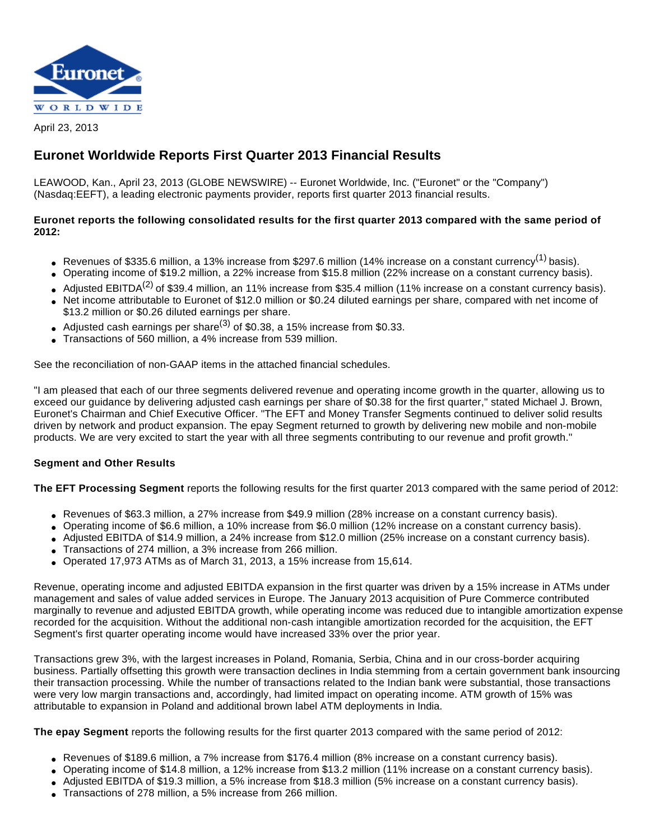

April 23, 2013

# **Euronet Worldwide Reports First Quarter 2013 Financial Results**

LEAWOOD, Kan., April 23, 2013 (GLOBE NEWSWIRE) -- Euronet Worldwide, Inc. ("Euronet" or the "Company") (Nasdaq:EEFT), a leading electronic payments provider, reports first quarter 2013 financial results.

# **Euronet reports the following consolidated results for the first quarter 2013 compared with the same period of 2012:**

- Revenues of \$335.6 million, a 13% increase from \$297.6 million (14% increase on a constant currency<sup>(1)</sup> basis).
- Operating income of \$19.2 million, a 22% increase from \$15.8 million (22% increase on a constant currency basis).
- Adjusted EBITDA<sup>(2)</sup> of \$39.4 million, an 11% increase from \$35.4 million (11% increase on a constant currency basis).
- Net income attributable to Euronet of \$12.0 million or \$0.24 diluted earnings per share, compared with net income of \$13.2 million or \$0.26 diluted earnings per share.
- Adjusted cash earnings per share<sup>(3)</sup> of \$0.38, a 15% increase from \$0.33.
- Transactions of 560 million, a 4% increase from 539 million.

See the reconciliation of non-GAAP items in the attached financial schedules.

"I am pleased that each of our three segments delivered revenue and operating income growth in the quarter, allowing us to exceed our guidance by delivering adjusted cash earnings per share of \$0.38 for the first quarter," stated Michael J. Brown, Euronet's Chairman and Chief Executive Officer. "The EFT and Money Transfer Segments continued to deliver solid results driven by network and product expansion. The epay Segment returned to growth by delivering new mobile and non-mobile products. We are very excited to start the year with all three segments contributing to our revenue and profit growth."

# **Segment and Other Results**

**The EFT Processing Segment** reports the following results for the first quarter 2013 compared with the same period of 2012:

- Revenues of \$63.3 million, a 27% increase from \$49.9 million (28% increase on a constant currency basis).
- Operating income of \$6.6 million, a 10% increase from \$6.0 million (12% increase on a constant currency basis).
- Adjusted EBITDA of \$14.9 million, a 24% increase from \$12.0 million (25% increase on a constant currency basis).
- Transactions of 274 million, a 3% increase from 266 million.
- Operated 17,973 ATMs as of March 31, 2013, a 15% increase from 15,614.

Revenue, operating income and adjusted EBITDA expansion in the first quarter was driven by a 15% increase in ATMs under management and sales of value added services in Europe. The January 2013 acquisition of Pure Commerce contributed marginally to revenue and adjusted EBITDA growth, while operating income was reduced due to intangible amortization expense recorded for the acquisition. Without the additional non-cash intangible amortization recorded for the acquisition, the EFT Segment's first quarter operating income would have increased 33% over the prior year.

Transactions grew 3%, with the largest increases in Poland, Romania, Serbia, China and in our cross-border acquiring business. Partially offsetting this growth were transaction declines in India stemming from a certain government bank insourcing their transaction processing. While the number of transactions related to the Indian bank were substantial, those transactions were very low margin transactions and, accordingly, had limited impact on operating income. ATM growth of 15% was attributable to expansion in Poland and additional brown label ATM deployments in India.

**The epay Segment** reports the following results for the first quarter 2013 compared with the same period of 2012:

- Revenues of \$189.6 million, a 7% increase from \$176.4 million (8% increase on a constant currency basis).
- Operating income of \$14.8 million, a 12% increase from \$13.2 million (11% increase on a constant currency basis).
- Adjusted EBITDA of \$19.3 million, a 5% increase from \$18.3 million (5% increase on a constant currency basis).
- Transactions of 278 million, a 5% increase from 266 million.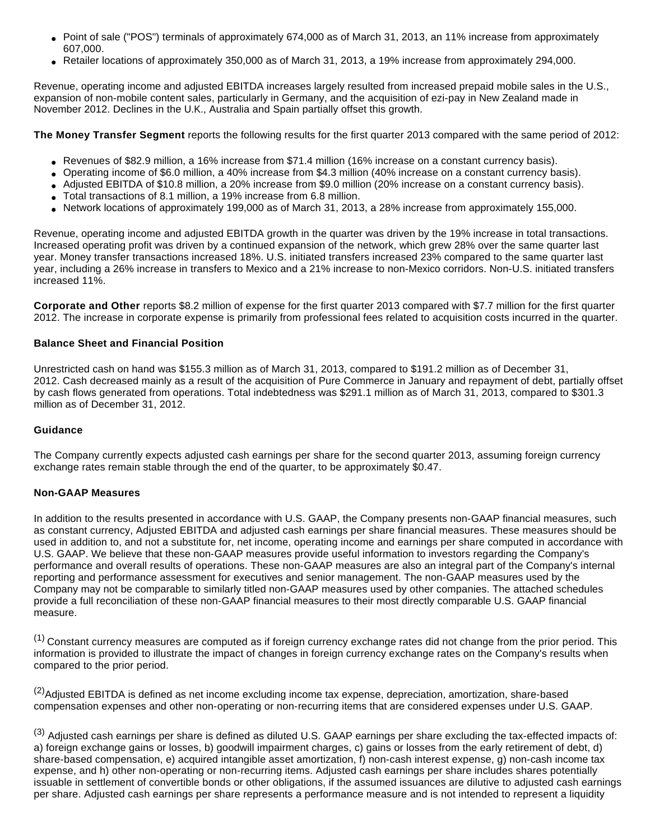- Point of sale ("POS") terminals of approximately 674,000 as of March 31, 2013, an 11% increase from approximately 607,000.
- Retailer locations of approximately 350,000 as of March 31, 2013, a 19% increase from approximately 294,000.

Revenue, operating income and adjusted EBITDA increases largely resulted from increased prepaid mobile sales in the U.S., expansion of non-mobile content sales, particularly in Germany, and the acquisition of ezi-pay in New Zealand made in November 2012. Declines in the U.K., Australia and Spain partially offset this growth.

**The Money Transfer Segment** reports the following results for the first quarter 2013 compared with the same period of 2012:

- Revenues of \$82.9 million, a 16% increase from \$71.4 million (16% increase on a constant currency basis).
- Operating income of \$6.0 million, a 40% increase from \$4.3 million (40% increase on a constant currency basis).
- Adjusted EBITDA of \$10.8 million, a 20% increase from \$9.0 million (20% increase on a constant currency basis).
- Total transactions of 8.1 million, a 19% increase from 6.8 million.
- Network locations of approximately 199,000 as of March 31, 2013, a 28% increase from approximately 155,000.

Revenue, operating income and adjusted EBITDA growth in the quarter was driven by the 19% increase in total transactions. Increased operating profit was driven by a continued expansion of the network, which grew 28% over the same quarter last year. Money transfer transactions increased 18%. U.S. initiated transfers increased 23% compared to the same quarter last year, including a 26% increase in transfers to Mexico and a 21% increase to non-Mexico corridors. Non-U.S. initiated transfers increased 11%.

**Corporate and Other** reports \$8.2 million of expense for the first quarter 2013 compared with \$7.7 million for the first quarter 2012. The increase in corporate expense is primarily from professional fees related to acquisition costs incurred in the quarter.

#### **Balance Sheet and Financial Position**

Unrestricted cash on hand was \$155.3 million as of March 31, 2013, compared to \$191.2 million as of December 31, 2012. Cash decreased mainly as a result of the acquisition of Pure Commerce in January and repayment of debt, partially offset by cash flows generated from operations. Total indebtedness was \$291.1 million as of March 31, 2013, compared to \$301.3 million as of December 31, 2012.

#### **Guidance**

The Company currently expects adjusted cash earnings per share for the second quarter 2013, assuming foreign currency exchange rates remain stable through the end of the quarter, to be approximately \$0.47.

#### **Non-GAAP Measures**

In addition to the results presented in accordance with U.S. GAAP, the Company presents non-GAAP financial measures, such as constant currency, Adjusted EBITDA and adjusted cash earnings per share financial measures. These measures should be used in addition to, and not a substitute for, net income, operating income and earnings per share computed in accordance with U.S. GAAP. We believe that these non-GAAP measures provide useful information to investors regarding the Company's performance and overall results of operations. These non-GAAP measures are also an integral part of the Company's internal reporting and performance assessment for executives and senior management. The non-GAAP measures used by the Company may not be comparable to similarly titled non-GAAP measures used by other companies. The attached schedules provide a full reconciliation of these non-GAAP financial measures to their most directly comparable U.S. GAAP financial measure.

(1) Constant currency measures are computed as if foreign currency exchange rates did not change from the prior period. This information is provided to illustrate the impact of changes in foreign currency exchange rates on the Company's results when compared to the prior period.

<sup>(2)</sup>Adjusted EBITDA is defined as net income excluding income tax expense, depreciation, amortization, share-based compensation expenses and other non-operating or non-recurring items that are considered expenses under U.S. GAAP.

(3) Adjusted cash earnings per share is defined as diluted U.S. GAAP earnings per share excluding the tax-effected impacts of: a) foreign exchange gains or losses, b) goodwill impairment charges, c) gains or losses from the early retirement of debt, d) share-based compensation, e) acquired intangible asset amortization, f) non-cash interest expense, g) non-cash income tax expense, and h) other non-operating or non-recurring items. Adjusted cash earnings per share includes shares potentially issuable in settlement of convertible bonds or other obligations, if the assumed issuances are dilutive to adjusted cash earnings per share. Adjusted cash earnings per share represents a performance measure and is not intended to represent a liquidity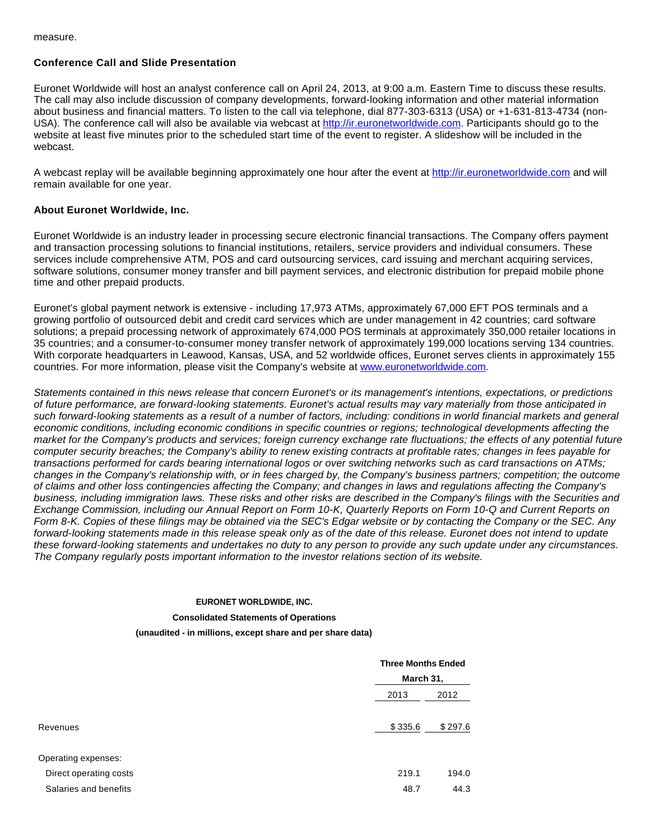measure.

### **Conference Call and Slide Presentation**

Euronet Worldwide will host an analyst conference call on April 24, 2013, at 9:00 a.m. Eastern Time to discuss these results. The call may also include discussion of company developments, forward-looking information and other material information about business and financial matters. To listen to the call via telephone, dial 877-303-6313 (USA) or +1-631-813-4734 (nonUSA). The conference call will also be available via webcast at [http://ir.euronetworldwide.com](http://ir.euronetworldwide.com/). Participants should go to the website at least five minutes prior to the scheduled start time of the event to register. A slideshow will be included in the webcast.

A webcast replay will be available beginning approximately one hour after the event at [http://ir.euronetworldwide.com](http://ir.euronetworldwide.com/) and will remain available for one year.

# **About Euronet Worldwide, Inc.**

Euronet Worldwide is an industry leader in processing secure electronic financial transactions. The Company offers payment and transaction processing solutions to financial institutions, retailers, service providers and individual consumers. These services include comprehensive ATM, POS and card outsourcing services, card issuing and merchant acquiring services, software solutions, consumer money transfer and bill payment services, and electronic distribution for prepaid mobile phone time and other prepaid products.

Euronet's global payment network is extensive - including 17,973 ATMs, approximately 67,000 EFT POS terminals and a growing portfolio of outsourced debit and credit card services which are under management in 42 countries; card software solutions; a prepaid processing network of approximately 674,000 POS terminals at approximately 350,000 retailer locations in 35 countries; and a consumer-to-consumer money transfer network of approximately 199,000 locations serving 134 countries. With corporate headquarters in Leawood, Kansas, USA, and 52 worldwide offices, Euronet serves clients in approximately 155 countries. For more information, please visit the Company's website at [www.euronetworldwide.com.](http://www.euronetworldwide.com/)

Statements contained in this news release that concern Euronet's or its management's intentions, expectations, or predictions of future performance, are forward-looking statements. Euronet's actual results may vary materially from those anticipated in such forward-looking statements as a result of a number of factors, including: conditions in world financial markets and general economic conditions, including economic conditions in specific countries or regions; technological developments affecting the market for the Company's products and services; foreign currency exchange rate fluctuations; the effects of any potential future computer security breaches; the Company's ability to renew existing contracts at profitable rates; changes in fees payable for transactions performed for cards bearing international logos or over switching networks such as card transactions on ATMs; changes in the Company's relationship with, or in fees charged by, the Company's business partners; competition; the outcome of claims and other loss contingencies affecting the Company; and changes in laws and regulations affecting the Company's business, including immigration laws. These risks and other risks are described in the Company's filings with the Securities and Exchange Commission, including our Annual Report on Form 10-K, Quarterly Reports on Form 10-Q and Current Reports on Form 8-K. Copies of these filings may be obtained via the SEC's Edgar website or by contacting the Company or the SEC. Any forward-looking statements made in this release speak only as of the date of this release. Euronet does not intend to update these forward-looking statements and undertakes no duty to any person to provide any such update under any circumstances. The Company regularly posts important information to the investor relations section of its website.

#### **EURONET WORLDWIDE, INC.**

**Consolidated Statements of Operations**

**(unaudited - in millions, except share and per share data)**

|                        | <b>Three Months Ended</b><br>March 31, |         |  |
|------------------------|----------------------------------------|---------|--|
|                        |                                        |         |  |
|                        | 2013                                   | 2012    |  |
| Revenues               | \$335.6                                | \$297.6 |  |
| Operating expenses:    |                                        |         |  |
| Direct operating costs | 219.1                                  | 194.0   |  |
| Salaries and benefits  | 48.7                                   | 44.3    |  |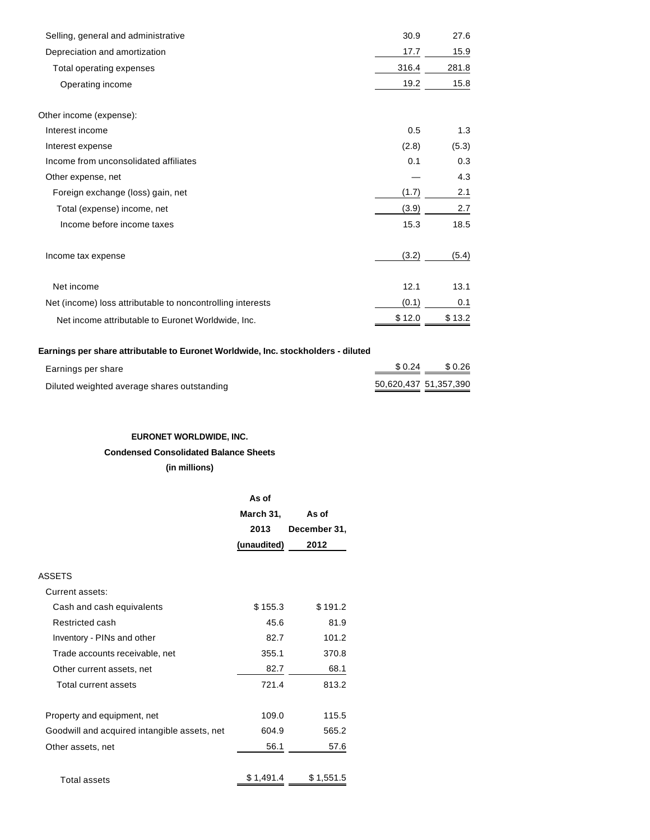| Selling, general and administrative                        | 30.9   | 27.6   |
|------------------------------------------------------------|--------|--------|
| Depreciation and amortization                              | 17.7   | 15.9   |
| Total operating expenses                                   | 316.4  | 281.8  |
| Operating income                                           | 19.2   | 15.8   |
| Other income (expense):                                    |        |        |
| Interest income                                            | 0.5    | 1.3    |
| Interest expense                                           | (2.8)  | (5.3)  |
| Income from unconsolidated affiliates                      | 0.1    | 0.3    |
| Other expense, net                                         |        | 4.3    |
| Foreign exchange (loss) gain, net                          | (1.7)  | 2.1    |
| Total (expense) income, net                                | (3.9)  | 2.7    |
| Income before income taxes                                 | 15.3   | 18.5   |
| Income tax expense                                         | (3.2)  | (5.4)  |
| Net income                                                 | 12.1   | 13.1   |
| Net (income) loss attributable to noncontrolling interests | (0.1)  | 0.1    |
| Net income attributable to Euronet Worldwide, Inc.         | \$12.0 | \$13.2 |

# **Earnings per share attributable to Euronet Worldwide, Inc. stockholders - diluted**

| Earnings per share                          | \$0.24                | \$0.26 |
|---------------------------------------------|-----------------------|--------|
| Diluted weighted average shares outstanding | 50,620,437 51,357,390 |        |

# **EURONET WORLDWIDE, INC.**

### **Condensed Consolidated Balance Sheets**

**(in millions)**

|                                              | As of       |              |
|----------------------------------------------|-------------|--------------|
|                                              | March 31,   | As of        |
|                                              | 2013        | December 31, |
|                                              | (unaudited) | 2012         |
|                                              |             |              |
| <b>ASSETS</b>                                |             |              |
| Current assets:                              |             |              |
| Cash and cash equivalents                    | \$155.3     | \$191.2      |
| Restricted cash                              | 45.6        | 81.9         |
| Inventory - PINs and other                   | 82.7        | 101.2        |
| Trade accounts receivable, net               | 355.1       | 370.8        |
| Other current assets, net                    | 82.7        | 68.1         |
| Total current assets                         | 721.4       | 813.2        |
|                                              |             |              |
| Property and equipment, net                  | 109.0       | 115.5        |
| Goodwill and acquired intangible assets, net | 604.9       | 565.2        |
| Other assets, net                            | 56.1        | 57.6         |
|                                              |             |              |
| <b>Total assets</b>                          | \$1,491.4   | \$1,551.5    |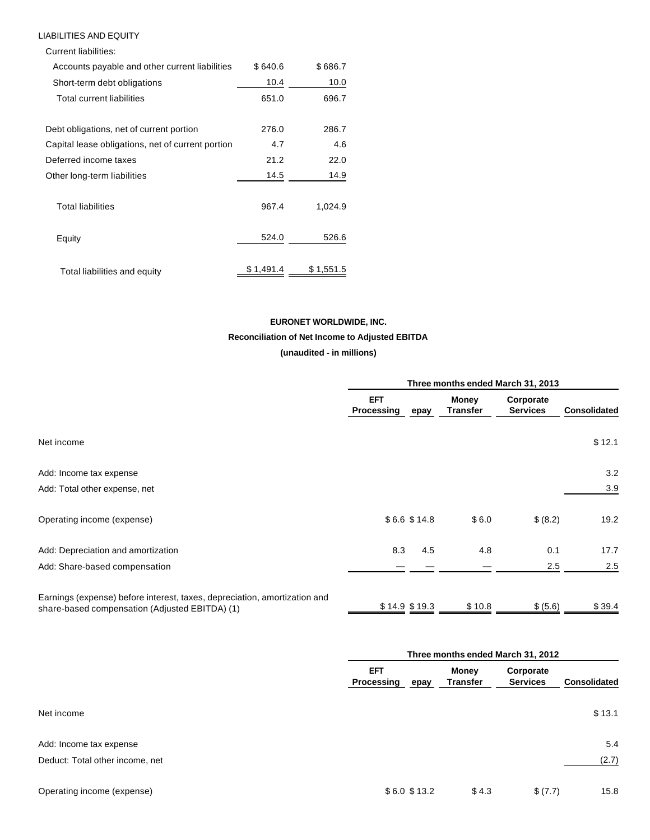### LIABILITIES AND EQUITY

Current liabilities: Accounts payable and other current liabilities \$640.6 \$686.7 Short-term debt obligations 10.4 10.0 Total current liabilities 651.0 696.7 Debt obligations, net of current portion 276.0 286.7 Capital lease obligations, net of current portion 4.7 4.6 Deferred income taxes 21.2 22.0 Other long-term liabilities 14.5 14.9 Total liabilities 967.4 1,024.9 Equity 524.0 526.6 Total liabilities and equity  $$ 1,491.4$   $$ 1,551.5$ 

# **EURONET WORLDWIDE, INC. Reconciliation of Net Income to Adjusted EBITDA**

**(unaudited - in millions)**

|                                                                                                                             |                          | Three months ended March 31, 2013 |                                 |                              |                     |
|-----------------------------------------------------------------------------------------------------------------------------|--------------------------|-----------------------------------|---------------------------------|------------------------------|---------------------|
|                                                                                                                             | <b>EFT</b><br>Processing | epay                              | <b>Money</b><br><b>Transfer</b> | Corporate<br><b>Services</b> | <b>Consolidated</b> |
| Net income                                                                                                                  |                          |                                   |                                 |                              | \$12.1              |
| Add: Income tax expense                                                                                                     |                          |                                   |                                 |                              | 3.2                 |
| Add: Total other expense, net                                                                                               |                          |                                   |                                 |                              | 3.9                 |
| Operating income (expense)                                                                                                  |                          | \$6.6 \$14.8                      | \$6.0                           | \$ (8.2)                     | 19.2                |
| Add: Depreciation and amortization                                                                                          | 8.3                      | 4.5                               | 4.8                             | 0.1                          | 17.7                |
| Add: Share-based compensation                                                                                               |                          |                                   |                                 | 2.5                          | 2.5                 |
| Earnings (expense) before interest, taxes, depreciation, amortization and<br>share-based compensation (Adjusted EBITDA) (1) |                          | $$14.9$ \$19.3                    | \$10.8                          | \$ (5.6)                     | \$39.4              |

|                                 |                           | Three months ended March 31, 2012 |                              |                     |  |
|---------------------------------|---------------------------|-----------------------------------|------------------------------|---------------------|--|
|                                 | EFT<br>Processing<br>epay | Money<br><b>Transfer</b>          | Corporate<br><b>Services</b> | <b>Consolidated</b> |  |
| Net income                      |                           |                                   |                              | \$13.1              |  |
| Add: Income tax expense         |                           |                                   |                              | 5.4                 |  |
| Deduct: Total other income, net |                           |                                   |                              | (2.7)               |  |
| Operating income (expense)      | \$6.0 \$13.2              | \$4.3                             | \$ (7.7)                     | 15.8                |  |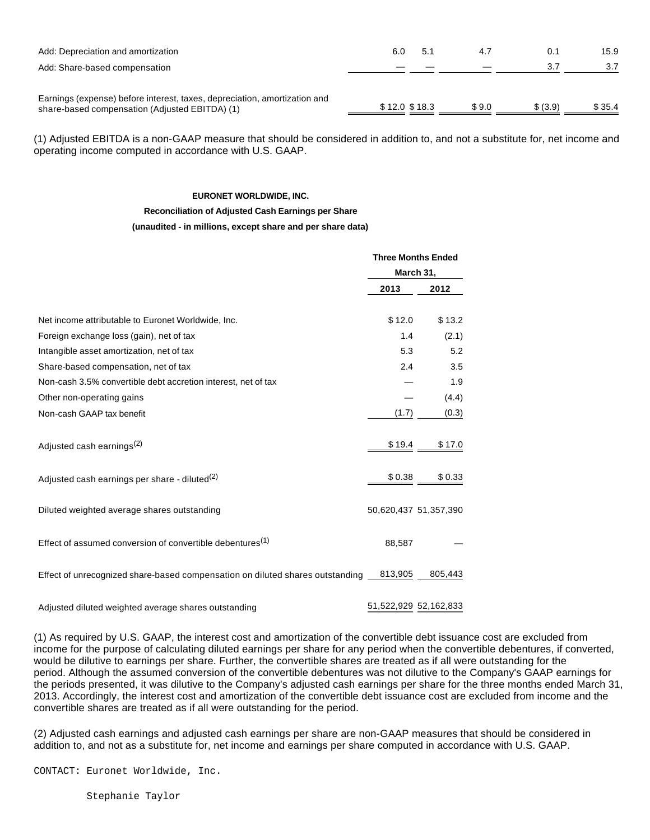| Add: Depreciation and amortization<br>Add: Share-based compensation                                                         | 6.0           | 5.1 | 4.7   | 0.1<br>3.7 | 15.9   |
|-----------------------------------------------------------------------------------------------------------------------------|---------------|-----|-------|------------|--------|
| Earnings (expense) before interest, taxes, depreciation, amortization and<br>share-based compensation (Adjusted EBITDA) (1) | \$12.0 \$18.3 |     | \$9.0 | \$ (3.9)   | \$35.4 |

(1) Adjusted EBITDA is a non-GAAP measure that should be considered in addition to, and not a substitute for, net income and operating income computed in accordance with U.S. GAAP.

#### **EURONET WORLDWIDE, INC.**

#### **Reconciliation of Adjusted Cash Earnings per Share**

#### **(unaudited - in millions, except share and per share data)**

|                                                                               | <b>Three Months Ended</b><br>March 31, |                       |  |
|-------------------------------------------------------------------------------|----------------------------------------|-----------------------|--|
|                                                                               |                                        |                       |  |
|                                                                               | 2013                                   | 2012                  |  |
| Net income attributable to Euronet Worldwide, Inc.                            | \$12.0                                 | \$13.2                |  |
| Foreign exchange loss (gain), net of tax                                      | 1.4                                    | (2.1)                 |  |
| Intangible asset amortization, net of tax                                     | 5.3                                    | 5.2                   |  |
| Share-based compensation, net of tax                                          | 2.4                                    | 3.5                   |  |
| Non-cash 3.5% convertible debt accretion interest, net of tax                 |                                        | 1.9                   |  |
| Other non-operating gains                                                     |                                        | (4.4)                 |  |
| Non-cash GAAP tax benefit                                                     | (1.7)                                  | (0.3)                 |  |
| Adjusted cash earnings <sup>(2)</sup>                                         | \$19.4                                 | \$17.0                |  |
| Adjusted cash earnings per share - diluted $(2)$                              | \$0.38                                 | \$0.33                |  |
| Diluted weighted average shares outstanding                                   |                                        | 50,620,437 51,357,390 |  |
| Effect of assumed conversion of convertible debentures $(1)$                  | 88,587                                 |                       |  |
| Effect of unrecognized share-based compensation on diluted shares outstanding | 813,905                                | 805,443               |  |
| Adjusted diluted weighted average shares outstanding                          |                                        | 51,522,929 52,162,833 |  |

(1) As required by U.S. GAAP, the interest cost and amortization of the convertible debt issuance cost are excluded from income for the purpose of calculating diluted earnings per share for any period when the convertible debentures, if converted, would be dilutive to earnings per share. Further, the convertible shares are treated as if all were outstanding for the period. Although the assumed conversion of the convertible debentures was not dilutive to the Company's GAAP earnings for the periods presented, it was dilutive to the Company's adjusted cash earnings per share for the three months ended March 31, 2013. Accordingly, the interest cost and amortization of the convertible debt issuance cost are excluded from income and the convertible shares are treated as if all were outstanding for the period.

(2) Adjusted cash earnings and adjusted cash earnings per share are non-GAAP measures that should be considered in addition to, and not as a substitute for, net income and earnings per share computed in accordance with U.S. GAAP.

CONTACT: Euronet Worldwide, Inc.

Stephanie Taylor